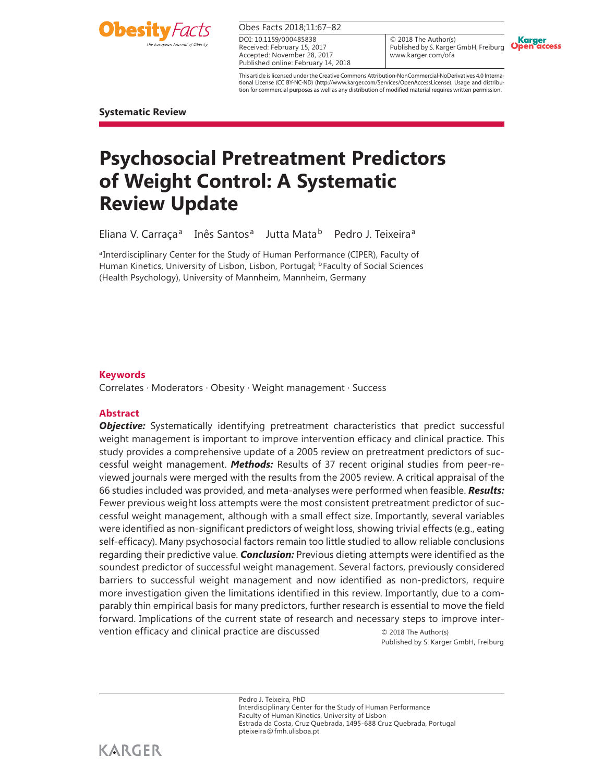

Obes Facts 2018;11:67–82

Received: February 15, 2017 Accepted: November 28, 2017 Published online: February 14, 2018 DOI: 10.1159/000485838

© 2018 The Author(s) Published by S. Karger GmbH, Freiburg www.karger.com/ofa



This article is licensed under the Creative Commons Attribution-NonCommercial-NoDerivatives 4.0 International License (CC BY-NC-ND) (http://www.karger.com/Services/OpenAccessLicense). Usage and distribution for commercial purposes as well as any distribution of modified material requires written permission.

**Systematic Review** 

# **Psychosocial Pretreatment Predictors of Weight Control: A Systematic Review Update**

Eliana V. Carraça<sup>a</sup> Inês Santos<sup>a</sup> Jutta Mata<sup>b</sup> Pedro J. Teixeira<sup>a</sup>

aInterdisciplinary Center for the Study of Human Performance (CIPER), Faculty of Human Kinetics, University of Lisbon, Lisbon, Portugal; <sup>b</sup>Faculty of Social Sciences (Health Psychology), University of Mannheim, Mannheim, Germany

# **Keywords**

Correlates · Moderators · Obesity · Weight management · Success

# **Abstract**

**Objective:** Systematically identifying pretreatment characteristics that predict successful weight management is important to improve intervention efficacy and clinical practice. This study provides a comprehensive update of a 2005 review on pretreatment predictors of successful weight management. *Methods:* Results of 37 recent original studies from peer-reviewed journals were merged with the results from the 2005 review. A critical appraisal of the 66 studies included was provided, and meta-analyses were performed when feasible. *Results:*  Fewer previous weight loss attempts were the most consistent pretreatment predictor of successful weight management, although with a small effect size. Importantly, several variables were identified as non-significant predictors of weight loss, showing trivial effects (e.g., eating self-efficacy). Many psychosocial factors remain too little studied to allow reliable conclusions regarding their predictive value. *Conclusion:* Previous dieting attempts were identified as the soundest predictor of successful weight management. Several factors, previously considered barriers to successful weight management and now identified as non-predictors, require more investigation given the limitations identified in this review. Importantly, due to a comparably thin empirical basis for many predictors, further research is essential to move the field forward. Implications of the current state of research and necessary steps to improve intervention efficacy and clinical practice are discussed  $\circ$  2018 The Author(s)

Published by S. Karger GmbH, Freiburg

Pedro J. Teixeira, PhD Interdisciplinary Center for the Study of Human Performance Faculty of Human Kinetics, University of Lisbon Estrada da Costa, Cruz Quebrada, 1495-688 Cruz Quebrada, Portugal pteixeira @ fmh.ulisboa.pt

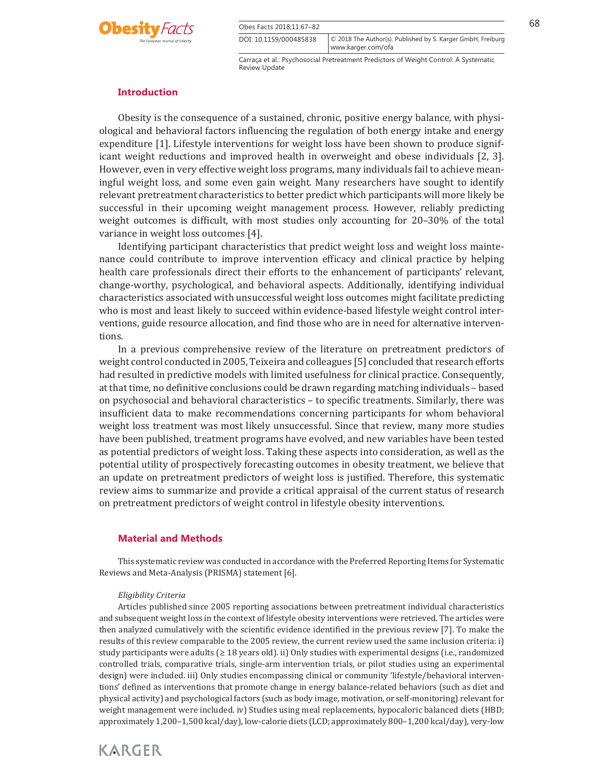

Obes Facts 2018:11:67–82 68 DOI: 10.1159/000485838

Carraça et al.: Psychosocial Pretreatment Predictors of Weight Control: A Systematic Review Update

© 2018 The Author(s). Published by S. Karger GmbH, Freiburg

www.karger.com/ofa

# **Introduction**

 Obesity is the consequence of a sustained, chronic, positive energy balance, with physiological and behavioral factors influencing the regulation of both energy intake and energy expenditure [1] . Lifestyle interventions for weight loss have been shown to produce significant weight reductions and improved health in overweight and obese individuals [2, 3]. However, even in very effective weight loss programs, many individuals fail to achieve meaningful weight loss, and some even gain weight. Many researchers have sought to identify relevant pretreatment characteristics to better predict which participants will more likely be successful in their upcoming weight management process. However, reliably predicting weight outcomes is difficult, with most studies only accounting for 20–30% of the total variance in weight loss outcomes [4] .

 Identifying participant characteristics that predict weight loss and weight loss maintenance could contribute to improve intervention efficacy and clinical practice by helping health care professionals direct their efforts to the enhancement of participants' relevant, change-worthy, psychological, and behavioral aspects. Additionally, identifying individual characteristics associated with unsuccessful weight loss outcomes might facilitate predicting who is most and least likely to succeed within evidence-based lifestyle weight control interventions, guide resource allocation, and find those who are in need for alternative interventions.

 In a previous comprehensive review of the literature on pretreatment predictors of weight control conducted in 2005, Teixeira and colleagues [5] concluded that research efforts had resulted in predictive models with limited usefulness for clinical practice. Consequently, at that time, no definitive conclusions could be drawn regarding matching individuals – based on psychosocial and behavioral characteristics – to specific treatments. Similarly, there was insufficient data to make recommendations concerning participants for whom behavioral weight loss treatment was most likely unsuccessful. Since that review, many more studies have been published, treatment programs have evolved, and new variables have been tested as potential predictors of weight loss. Taking these aspects into consideration, as well as the potential utility of prospectively forecasting outcomes in obesity treatment, we believe that an update on pretreatment predictors of weight loss is justified. Therefore, this systematic review aims to summarize and provide a critical appraisal of the current status of research on pretreatment predictors of weight control in lifestyle obesity interventions.

#### **Material and Methods**

 This systematic review was conducted in accordance with the Preferred Reporting Items for Systematic Reviews and Meta-Analysis (PRISMA) statement [6] .

#### *Eligibility Criteria*

 Articles published since 2005 reporting associations between pretreatment individual characteristics and subsequent weight loss in the context of lifestyle obesity interventions were retrieved. The articles were then analyzed cumulatively with the scientific evidence identified in the previous review [7] . To make the results of this review comparable to the 2005 review, the current review used the same inclusion criteria: i) study participants were adults ( $\geq 18$  years old). ii) Only studies with experimental designs (i.e., randomized controlled trials, comparative trials, single-arm intervention trials, or pilot studies using an experimental design) were included. iii) Only studies encompassing clinical or community 'lifestyle/behavioral interventions' defined as interventions that promote change in energy balance-related behaviors (such as diet and physical activity) and psychological factors (such as body image, motivation, or self-monitoring) relevant for weight management were included. iv) Studies using meal replacements, hypocaloric balanced diets (HBD; approximately 1,200–1,500 kcal/day), low-calorie diets (LCD; approximately 800–1,200 kcal/day), very-low

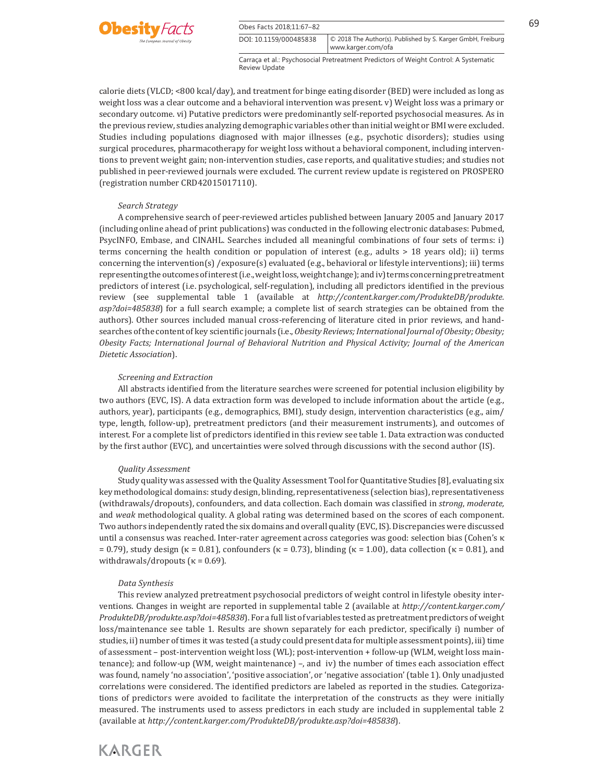

www.karger.com/ofa

calorie diets (VLCD; <800 kcal/day), and treatment for binge eating disorder (BED) were included as long as weight loss was a clear outcome and a behavioral intervention was present. v) Weight loss was a primary or secondary outcome. vi) Putative predictors were predominantly self-reported psychosocial measures. As in the previous review, studies analyzing demographic variables other than initial weight or BMI were excluded. Studies including populations diagnosed with major illnesses (e.g., psychotic disorders); studies using surgical procedures, pharmacotherapy for weight loss without a behavioral component, including interventions to prevent weight gain; non-intervention studies, case reports, and qualitative studies; and studies not published in peer-reviewed journals were excluded. The current review update is registered on PROSPERO (registration number CRD42015017110).

#### *Search Strategy*

 A comprehensive search of peer-reviewed articles published between January 2005 and January 2017 (including online ahead of print publications) was conducted in the following electronic databases: Pubmed, PsycINFO, Embase, and CINAHL. Searches included all meaningful combinations of four sets of terms: i) terms concerning the health condition or population of interest (e.g., adults > 18 years old); ii) terms concerning the intervention(s) /exposure(s) evaluated (e.g., behavioral or lifestyle interventions); iii) terms representing the outcomes of interest (i.e., weight loss, weight change); and iv) terms concerning pretreatment predictors of interest (i.e. psychological, self-regulation), including all predictors identified in the previous review (see supplemental table 1 (available at *http://content.karger.com/ProdukteDB/produkte. asp?doi=485838* ) for a full search example; a complete list of search strategies can be obtained from the authors). Other sources included manual cross-referencing of literature cited in prior reviews, and handsearches of the content of key scientific journals (i.e., *Obesity Reviews; International Journal of Obesity; Obesity; Obesity Facts; International Journal of Behavioral Nutrition and Physical Activity; Journal of the American Dietetic Association* ).

#### *Screening and Extraction*

 All abstracts identified from the literature searches were screened for potential inclusion eligibility by two authors (EVC, IS). A data extraction form was developed to include information about the article (e.g., authors, year), participants (e.g., demographics, BMI), study design, intervention characteristics (e.g., aim/ type, length, follow-up), pretreatment predictors (and their measurement instruments), and outcomes of interest. For a complete list of predictors identified in this review see table 1. Data extraction was conducted by the first author (EVC), and uncertainties were solved through discussions with the second author (IS).

#### *Quality Assessment*

 Study quality was assessed with the Quality Assessment Tool for Quantitative Studies [8] , evaluating six key methodological domains: study design, blinding, representativeness (selection bias), representativeness (withdrawals/dropouts), confounders, and data collection. Each domain was classified in *strong* , *moderate,* and *weak* methodological quality. A global rating was determined based on the scores of each component. Two authors independently rated the six domains and overall quality (EVC, IS). Discrepancies were discussed until a consensus was reached. Inter-rater agreement across categories was good: selection bias (Cohen's κ = 0.79), study design (κ = 0.81), confounders (κ = 0.73), blinding (κ = 1.00), data collection (κ = 0.81), and withdrawals/dropouts ( $\kappa$  = 0.69).

#### *Data Synthesis*

 This review analyzed pretreatment psychosocial predictors of weight control in lifestyle obesity interventions. Changes in weight are reported in supplemental table 2 (available at *http://content.karger.com/ ProdukteDB/produkte.asp?doi=485838* ). For a full list of variables tested as pretreatment predictors of weight loss/maintenance see table 1. Results are shown separately for each predictor, specifically i) number of studies, ii) number of times it was tested (a study could present data for multiple assessment points), iii) time of assessment – post-intervention weight loss (WL); post-intervention + follow-up (WLM, weight loss maintenance); and follow-up (WM, weight maintenance) –, and iv) the number of times each association effect was found, namely 'no association', 'positive association', or 'negative association' (table 1). Only unadjusted correlations were considered. The identified predictors are labeled as reported in the studies. Categorizations of predictors were avoided to facilitate the interpretation of the constructs as they were initially measured. The instruments used to assess predictors in each study are included in supplemental table 2 (available at *http://content.karger.com/ProdukteDB/produkte.asp?doi=485838* ).

# **KARGER**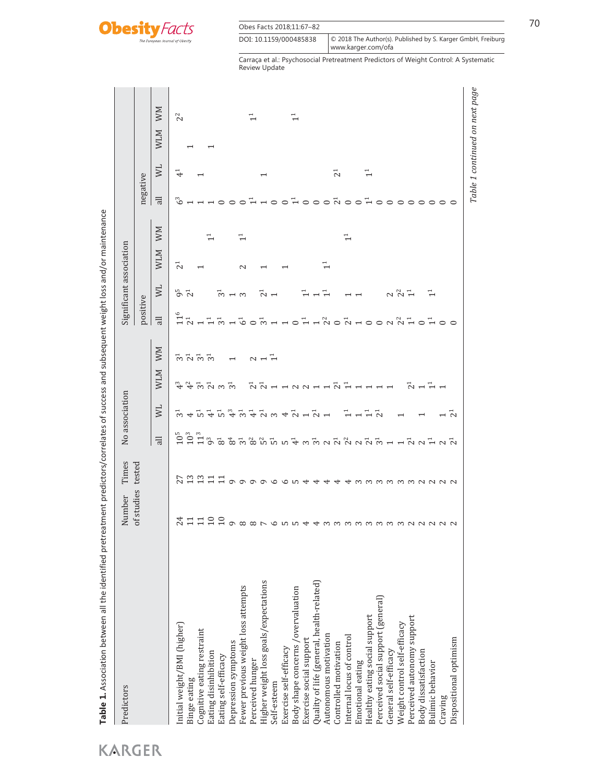

| Obes Facts 2018;11:67-82 |                                                                                   |
|--------------------------|-----------------------------------------------------------------------------------|
| DOI: 10.1159/000485838   | © 2018 The Author(s). Published by S. Karger GmbH, Freiburg<br>www.karger.com/ofa |

|                                           |                                                                              | Times    |                                                     | No association                                                      |                                                                                                                         |             |                             |                         | Significant association |                |                |                          |            |                |
|-------------------------------------------|------------------------------------------------------------------------------|----------|-----------------------------------------------------|---------------------------------------------------------------------|-------------------------------------------------------------------------------------------------------------------------|-------------|-----------------------------|-------------------------|-------------------------|----------------|----------------|--------------------------|------------|----------------|
|                                           | of studies                                                                   | tested   |                                                     |                                                                     |                                                                                                                         |             | positive                    |                         |                         |                | negative       |                          |            |                |
|                                           |                                                                              |          | $\overline{a}$                                      | NL                                                                  | <b>MTM</b>                                                                                                              | MM          | $\overline{a}$              | <b>NN</b>               | <b>MTM</b>              | MM             | $\overline{a}$ | ΜL                       | <b>MTM</b> | MM             |
| Initial weight/BMI (higher)               |                                                                              |          | $10^5$                                              |                                                                     |                                                                                                                         |             | $\overline{1}$              | $9^{5}$ $2^{1}$         | $\overline{c}$          |                | ್              | $\vec{+}$                |            | 2 <sup>2</sup> |
| Binge eating                              |                                                                              |          | 10 <sup>3</sup>                                     | $\frac{1}{10}$ +                                                    | $rac{3}{4}$                                                                                                             |             | $\overline{C}$ <sup>1</sup> |                         |                         |                |                |                          |            |                |
| Cognitive eating restraint                | d H H H H O O O O O D O O O O <del>d d</del> m m m m m m m m m m m N N N N N | nggadoo  | 11 <sup>3</sup>                                     | $\frac{1}{10}$ $\frac{1}{4}$                                        |                                                                                                                         | 5 5 5 5 5   |                             |                         |                         |                |                |                          |            |                |
| Eating disinhibition                      |                                                                              |          | 9 <sup>3</sup>                                      |                                                                     | $\vec{p}$ $\vec{p}$ $\vec{p}$ $\vec{p}$ $\vec{p}$                                                                       |             | $\vec{\phantom{a}}$         |                         |                         | 근              |                |                          | ↽          |                |
| Eating self-efficacy                      |                                                                              |          | $\rm{g}$                                            |                                                                     |                                                                                                                         |             |                             |                         |                         |                |                |                          |            |                |
| Depression symptoms                       |                                                                              |          | <u>ชื่องให้มีผลงองผู้ผู้ผู้ผู้ผู้คนอื่นอื่นอื่น</u> | $5\frac{3}{4}$ $\frac{1}{2}$                                        |                                                                                                                         |             |                             | $\bar{c}$ $\sim$ $\sim$ |                         |                |                |                          |            |                |
| Fewer previous weight loss attempts       |                                                                              |          |                                                     |                                                                     |                                                                                                                         |             |                             |                         | $\mathbf{c}$            | $\overline{1}$ |                |                          |            |                |
| Perceived hunger                          |                                                                              |          |                                                     | $\vec{+}$                                                           |                                                                                                                         |             |                             |                         |                         |                |                |                          |            | ⊣              |
| Higher weight loss goals/expectations     |                                                                              | $\sigma$ |                                                     |                                                                     | $\vec{a}$ $\vec{a}$ $\vec{b}$ $\vec{c}$ $\vec{c}$ $\vec{d}$ $\vec{b}$ $\vec{c}$ $\vec{d}$ $\vec{d}$ $\vec{d}$ $\vec{d}$ | $\sim$ $ -$ |                             | $\bar{\sim}$            |                         |                |                |                          |            |                |
| Self-esteem                               |                                                                              | $\circ$  |                                                     |                                                                     |                                                                                                                         |             |                             |                         |                         |                | $\circ$        |                          |            |                |
| Exercise self-efficacy                    |                                                                              | ما ھ     |                                                     |                                                                     |                                                                                                                         |             |                             |                         |                         |                | $\circ$        |                          |            |                |
| Body shape concerns /overvaluation        |                                                                              |          |                                                     |                                                                     |                                                                                                                         |             |                             |                         |                         |                |                |                          |            | $\vec{+}$      |
| Exercise social support                   |                                                                              |          |                                                     |                                                                     |                                                                                                                         |             |                             |                         |                         |                |                |                          |            |                |
| Quality of life (general, health-related) |                                                                              |          |                                                     | $\bar{N}$ m $\sigma$ $\bar{N}$ $\sigma$ $\bar{N}$ $\sigma$ $\sigma$ |                                                                                                                         |             |                             |                         |                         |                |                |                          |            |                |
| Autonomous motivation                     |                                                                              |          |                                                     |                                                                     |                                                                                                                         |             |                             |                         | 딭                       |                |                |                          |            |                |
| Controlled motivation                     |                                                                              |          |                                                     |                                                                     | $\overline{Q}$ $\overline{H}$                                                                                           |             |                             |                         |                         |                |                | $\overline{c}$           |            |                |
| Internal locus of control                 |                                                                              |          |                                                     |                                                                     |                                                                                                                         |             |                             |                         |                         | $\vec{1}$      | $F = 0$        |                          |            |                |
| Emotional eating                          |                                                                              |          |                                                     |                                                                     |                                                                                                                         |             |                             |                         |                         |                |                |                          |            |                |
| Healthy eating social support             |                                                                              |          |                                                     | $\vec{1}$                                                           |                                                                                                                         |             |                             |                         |                         |                | $\vec{+}$      | $\overline{\phantom{a}}$ |            |                |
| Perceived social support (general)        |                                                                              | mmmmnnnn |                                                     | $\tilde{\Omega}$                                                    |                                                                                                                         |             |                             |                         |                         |                | $\circ$        |                          |            |                |
| General self-efficacy                     |                                                                              |          |                                                     |                                                                     |                                                                                                                         |             |                             |                         |                         |                | $\circ$        |                          |            |                |
| Weight control self-efficacy              |                                                                              |          |                                                     |                                                                     |                                                                                                                         |             |                             | $\frac{2}{3}$           |                         |                | $\circ$        |                          |            |                |
| Perceived autonomy support                |                                                                              |          |                                                     |                                                                     | $\overline{C}$ $\overline{C}$                                                                                           |             |                             | 근                       |                         |                | $\circ$        |                          |            |                |
| Body dissatisfaction                      |                                                                              |          |                                                     |                                                                     |                                                                                                                         |             |                             |                         |                         |                | $\circ$        |                          |            |                |
| <b>Bulimic</b> behavior                   |                                                                              |          |                                                     |                                                                     |                                                                                                                         |             | $\overline{H}$ 0 0          |                         |                         |                | $\circ$        |                          |            |                |
| Craving                                   |                                                                              |          |                                                     | $\vec{c}$                                                           |                                                                                                                         |             |                             |                         |                         |                | $\circ$        |                          |            |                |
| Dispositional optimism                    |                                                                              |          |                                                     |                                                                     |                                                                                                                         |             |                             |                         |                         |                |                |                          |            |                |

Table 1 Association between all the identified pretreatment predictors/correlates of success and subsequent weight loss and/or maintenance **Table 1.** Association between all the identified pretreatment predictors/correlates of success and subsequent weight loss and/or maintenance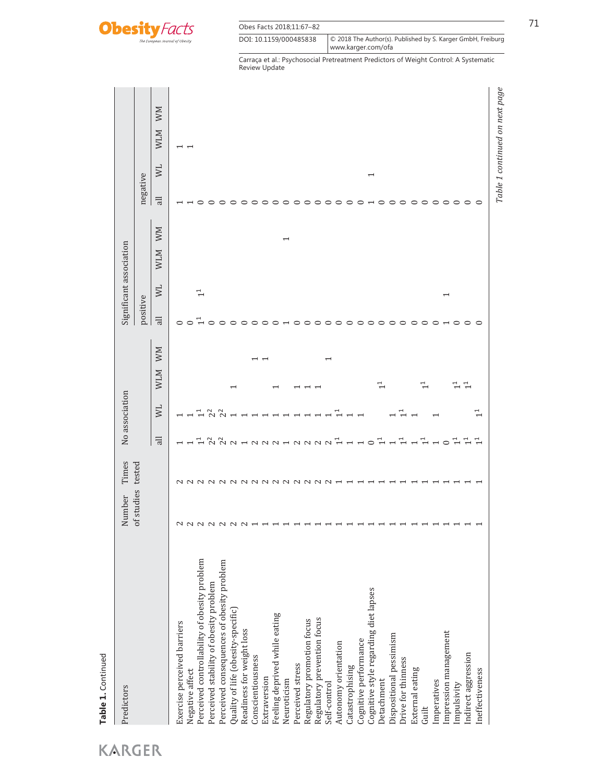

| Obes Facts 2018;11:67-82 |                                                                                     |
|--------------------------|-------------------------------------------------------------------------------------|
| DOI: 10.1159/000485838   | © 2018 The Author(s). Published by S. Karger GmbH, Freiburg<br>  www.karger.com/ofa |

| Predictors                                   | Number     | Times                                                                                 |                 | No association |                          |    |                |                          | Significant association |                          |                |                          |                |                                |
|----------------------------------------------|------------|---------------------------------------------------------------------------------------|-----------------|----------------|--------------------------|----|----------------|--------------------------|-------------------------|--------------------------|----------------|--------------------------|----------------|--------------------------------|
|                                              | of studies | tested                                                                                |                 |                |                          |    | positive       |                          |                         |                          | negative       |                          |                |                                |
|                                              |            |                                                                                       | $\overline{a}$  | <b>NN</b>      | <b>WLM</b>               | MM | $\overline{a}$ | ΣM                       | <b>WLM</b>              | MM                       | $\overline{a}$ | ΜL                       | <b>WLM</b>     | MM                             |
| Exercise perceived barriers                  |            |                                                                                       |                 |                |                          |    | $\circ$        |                          |                         |                          |                |                          |                |                                |
| Negative affect                              |            | $\begin{array}{c} \n 0 \\ 0 \\ 0\n \end{array}$                                       |                 |                |                          |    | $\circ$        |                          |                         |                          |                |                          | $\overline{ }$ |                                |
| Perceived controllability of obesity problem |            |                                                                                       |                 |                |                          |    |                | $\ddot{1}$               |                         |                          |                |                          |                |                                |
| Perceived stability of obesity problem       |            | $\sim$                                                                                |                 |                |                          |    |                |                          |                         |                          |                |                          |                |                                |
| Perceived consequences of obesity problem    |            | $\sim$                                                                                | $\tilde{c}$     |                |                          |    |                |                          |                         |                          |                |                          |                |                                |
| Quality of life (obesity-specific)           |            |                                                                                       | $\mathbf{C}$    |                |                          |    | っ              |                          |                         |                          |                |                          |                |                                |
| Readiness for weight loss                    | $\sim$     | $\begin{array}{c} \mathcal{N} & \mathcal{N} \\ \mathcal{N} & \mathcal{N} \end{array}$ |                 |                |                          |    | っ              |                          |                         |                          |                |                          |                |                                |
| Conscientiousness                            |            |                                                                                       | $\sim$          |                |                          |    | ⊂              |                          |                         |                          |                |                          |                |                                |
| Extraversion                                 |            | $\sim$                                                                                | $\sim$          |                | $\overline{ }$           |    | っ              |                          |                         |                          |                |                          |                |                                |
| Feeling deprived while eating                |            | $\sim$                                                                                | $\mathbf{C}$    |                |                          |    | ⊂              |                          |                         |                          |                |                          |                |                                |
| Neuroticism                                  |            | $\sim$                                                                                |                 |                |                          |    |                |                          |                         | $\overline{\phantom{0}}$ |                |                          |                |                                |
| Perceived stress                             |            | $\sim$                                                                                | $\mathbf{C}$    |                |                          |    | ○              |                          |                         |                          |                |                          |                |                                |
| Regulatory promotion focus                   |            | $\sim$                                                                                | $\sim$          |                |                          |    | $\circ$        |                          |                         |                          |                |                          |                |                                |
| Regulatory prevention focus                  |            | $\mathbf{\sim}$                                                                       | $\mathbf{\sim}$ |                |                          |    | ○              |                          |                         |                          |                |                          |                |                                |
| Self-control                                 |            | $\mathbf{\sim}$                                                                       | $\mathbf{C}$    |                | $\overline{\phantom{0}}$ |    | $\circ$        |                          |                         |                          |                |                          |                |                                |
| Autonomy orientation                         |            |                                                                                       |                 |                |                          |    | $\circ$        |                          |                         |                          | ○              |                          |                |                                |
| Catastrophising                              |            |                                                                                       |                 |                |                          |    | $\circ$        |                          |                         |                          | ⊂              |                          |                |                                |
| Cognitive performance                        |            |                                                                                       |                 |                |                          |    | $\circ$        |                          |                         |                          |                |                          |                |                                |
| Cognitive style regarding diet lapses        |            |                                                                                       | $\subset$       |                |                          |    | $\circ$        |                          |                         |                          |                | $\overline{\phantom{0}}$ |                |                                |
| Detachment                                   |            |                                                                                       |                 |                |                          |    | $\circ$        |                          |                         |                          |                |                          |                |                                |
| Dispositional pessimism                      |            |                                                                                       |                 |                |                          |    | $\circ$        |                          |                         |                          |                |                          |                |                                |
| Drive for thinness                           |            |                                                                                       |                 |                |                          |    | $\circ$        |                          |                         |                          |                |                          |                |                                |
| External eating                              |            |                                                                                       |                 |                |                          |    | $\circ$        |                          |                         |                          |                |                          |                |                                |
| Guilt                                        |            |                                                                                       |                 |                |                          |    | $\circ$        |                          |                         |                          |                |                          |                |                                |
| Imperatives                                  |            |                                                                                       |                 |                |                          |    | ○              |                          |                         |                          | ○              |                          |                |                                |
| Impression management                        |            |                                                                                       | $\circ$         |                |                          |    |                | $\overline{\phantom{0}}$ |                         |                          | $\circ$        |                          |                |                                |
| Impulsivity                                  |            |                                                                                       |                 |                |                          |    | $\circ$        |                          |                         |                          | $\circ$        |                          |                |                                |
| Indirect aggression                          |            |                                                                                       |                 |                |                          |    | ⊂              |                          |                         |                          | $\circ$        |                          |                |                                |
| Ineffectiveness                              |            |                                                                                       |                 | 1 <sup>1</sup> |                          |    | ⊂              |                          |                         |                          | $\circ$        |                          |                |                                |
|                                              |            |                                                                                       |                 |                |                          |    |                |                          |                         |                          |                |                          |                | Table 1 continued on next page |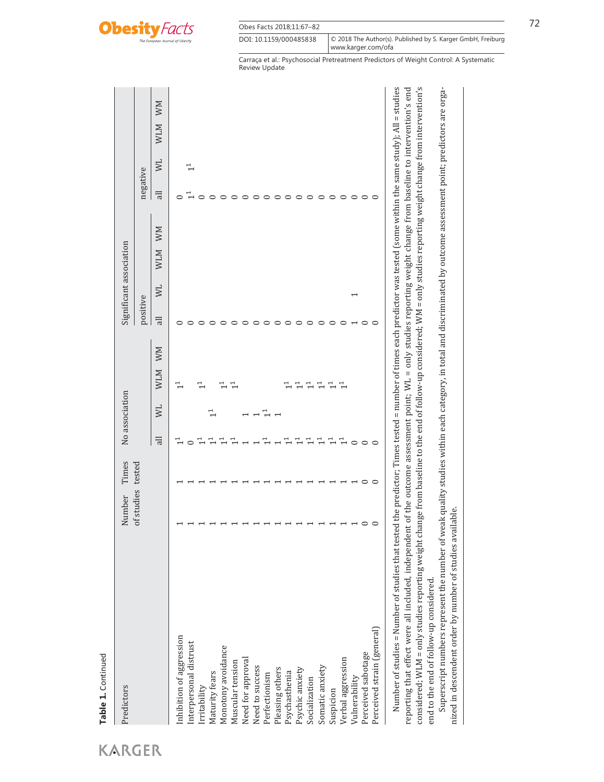

| Obes Facts 2018;11:67-82 |                                                                                      | ユコ |
|--------------------------|--------------------------------------------------------------------------------------|----|
| DOI: 10.1159/000485838   | © 2018 The Author(s). Published by S. Karger GmbH, Freiburg<br>l www.karger.com/ofa_ |    |

| Predictors                                                                                                                                                                                                                    | Number     | Times   |                | No association           |                                                                                                                  |          | Significant association |            |    |                |            |            |    |
|-------------------------------------------------------------------------------------------------------------------------------------------------------------------------------------------------------------------------------|------------|---------|----------------|--------------------------|------------------------------------------------------------------------------------------------------------------|----------|-------------------------|------------|----|----------------|------------|------------|----|
|                                                                                                                                                                                                                               | of studies | tested  |                |                          |                                                                                                                  | positive |                         |            |    | negative       |            |            |    |
|                                                                                                                                                                                                                               |            |         | $\overline{a}$ | $\geq$                   | MM<br><b>MTM</b>                                                                                                 | 긂        | $\sum$                  | <b>MTM</b> | MM | $\overline{a}$ | $\geq$     | <b>MTM</b> | MM |
| Inhibition of aggression                                                                                                                                                                                                      |            |         |                |                          | $\vec{\tau}$                                                                                                     |          |                         |            |    |                |            |            |    |
| Interpersonal distrust                                                                                                                                                                                                        |            |         |                |                          |                                                                                                                  |          |                         |            |    |                | $\ddot{ }$ |            |    |
| Irritability                                                                                                                                                                                                                  |            |         |                |                          | 근                                                                                                                |          |                         |            |    |                |            |            |    |
| Maturity fears                                                                                                                                                                                                                |            |         |                | 근                        |                                                                                                                  |          |                         |            |    |                |            |            |    |
| Monotony avoidance                                                                                                                                                                                                            |            |         |                |                          | Ļ                                                                                                                |          |                         |            |    |                |            |            |    |
| Muscular tension                                                                                                                                                                                                              |            |         |                |                          | $\stackrel{\text{\tiny{d}}}{\leftarrow}$                                                                         |          |                         |            |    |                |            |            |    |
| Need for approval                                                                                                                                                                                                             |            |         |                |                          |                                                                                                                  |          |                         |            |    |                |            |            |    |
| Need to success                                                                                                                                                                                                               |            |         |                |                          |                                                                                                                  |          |                         |            |    |                |            |            |    |
| Perfectionism                                                                                                                                                                                                                 |            |         |                | $\overline{\phantom{a}}$ |                                                                                                                  |          |                         |            |    |                |            |            |    |
| Pleasing others                                                                                                                                                                                                               |            |         |                |                          |                                                                                                                  |          |                         |            |    |                |            |            |    |
| Psychasthenia                                                                                                                                                                                                                 |            |         |                |                          |                                                                                                                  |          |                         |            |    |                |            |            |    |
| Psychic anxiety                                                                                                                                                                                                               |            |         |                |                          | 근                                                                                                                |          |                         |            |    |                |            |            |    |
| Socialization                                                                                                                                                                                                                 |            |         |                |                          | 근                                                                                                                |          |                         |            |    |                |            |            |    |
| Somatic anxiety                                                                                                                                                                                                               |            |         | ᡓ              |                          | 근                                                                                                                |          |                         |            |    |                |            |            |    |
| Suspicion                                                                                                                                                                                                                     |            |         | ᡓ              |                          | ᆜ                                                                                                                |          |                         |            |    |                |            |            |    |
| Verbal aggression                                                                                                                                                                                                             |            |         |                |                          | મ                                                                                                                |          |                         |            |    | $\circ$        |            |            |    |
| Vulnerability                                                                                                                                                                                                                 |            |         |                |                          |                                                                                                                  |          |                         |            |    | $\circ$        |            |            |    |
| Perceived sabotage                                                                                                                                                                                                            | $\circ$    | $\circ$ | $\circ$        |                          |                                                                                                                  | $\circ$  |                         |            |    | $\circ$        |            |            |    |
| Perceived strain (general)                                                                                                                                                                                                    | $\circ$    | ○       |                |                          |                                                                                                                  | ○        |                         |            |    | $\circ$        |            |            |    |
| Number of studies = Number of studies that tested the predictor; Times tested = number of times each predictor was tested (some within the same study); All = studies<br>reporting that effect were all included, independent |            |         |                |                          | of the outcome assessment point: $WL =$ only studies reporting weight change from baseline to intervention's end |          |                         |            |    |                |            |            |    |

reporting that effect were all included, independent of the outcome assessment point; WL = only studies reporting weight change from baseline to intervention's end considered; WLM = only studies reporting weight change from baseline to the end of follow-up considered; WM = only studies reporting weight change from intervention's end to the end of follow-up considered. end to the end of follow-up considered.

Superscript numbers represent the number of weak quality studies within each category, in total and discriminated by outcome assessment point; predictors are orga-Superscript numbers represent the number of weak quality studies within each category, in total and discriminated by outcome assessment point; predictors are organized in descendent order by number of studies available. nized in descendent order by number of studies available.

**Table 1.** Continued

Table 1. Continued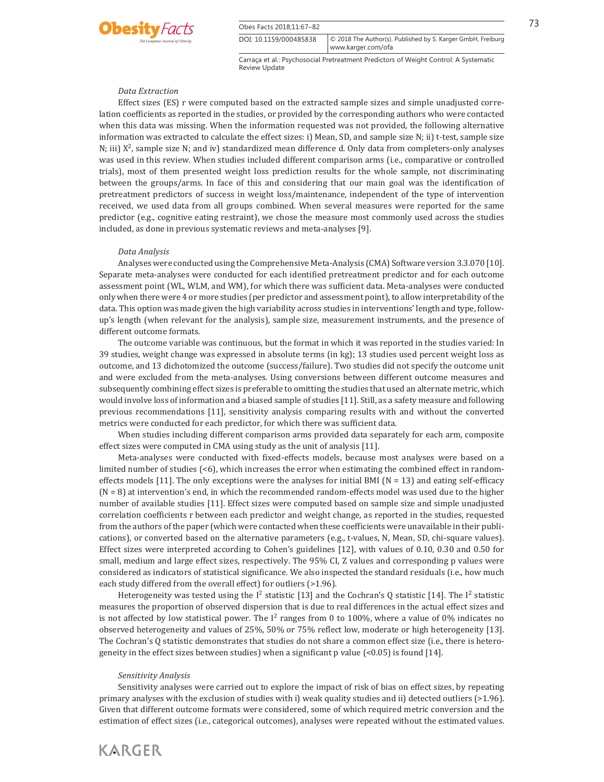

Obes Facts 2018:11:67–82 73 DOI: 10.1159/000485838

Carraça et al.: Psychosocial Pretreatment Predictors of Weight Control: A Systematic Review Update

© 2018 The Author(s). Published by S. Karger GmbH, Freiburg

www.karger.com/ofa

#### *Data Extraction*

 Effect sizes (ES) r were computed based on the extracted sample sizes and simple unadjusted correlation coefficients as reported in the studies, or provided by the corresponding authors who were contacted when this data was missing. When the information requested was not provided, the following alternative information was extracted to calculate the effect sizes: i) Mean, SD, and sample size N; ii) t-test, sample size N; iii)  $X^2$ , sample size N; and iv) standardized mean difference d. Only data from completers-only analyses was used in this review. When studies included different comparison arms (i.e., comparative or controlled trials), most of them presented weight loss prediction results for the whole sample, not discriminating between the groups/arms. In face of this and considering that our main goal was the identification of pretreatment predictors of success in weight loss/maintenance, independent of the type of intervention received, we used data from all groups combined. When several measures were reported for the same predictor (e.g., cognitive eating restraint), we chose the measure most commonly used across the studies included, as done in previous systematic reviews and meta-analyses [9] .

#### *Data Analysis*

 Analyses were conducted using the Comprehensive Meta-Analysis (CMA) Software version 3.3.070 [10] . Separate meta-analyses were conducted for each identified pretreatment predictor and for each outcome assessment point (WL, WLM, and WM), for which there was sufficient data. Meta-analyses were conducted only when there were 4 or more studies (per predictor and assessment point), to allow interpretability of the data. This option was made given the high variability across studies in interventions' length and type, followup's length (when relevant for the analysis), sample size, measurement instruments, and the presence of different outcome formats.

 The outcome variable was continuous, but the format in which it was reported in the studies varied: In 39 studies, weight change was expressed in absolute terms (in kg); 13 studies used percent weight loss as outcome, and 13 dichotomized the outcome (success/failure). Two studies did not specify the outcome unit and were excluded from the meta-analyses. Using conversions between different outcome measures and subsequently combining effect sizes is preferable to omitting the studies that used an alternate metric, which would involve loss of information and a biased sample of studies [11] . Still, as a safety measure and following previous recommendations [11] , sensitivity analysis comparing results with and without the converted metrics were conducted for each predictor, for which there was sufficient data.

 When studies including different comparison arms provided data separately for each arm, composite effect sizes were computed in CMA using study as the unit of analysis [11] .

 Meta-analyses were conducted with fixed-effects models, because most analyses were based on a limited number of studies (<6), which increases the error when estimating the combined effect in randomeffects models [11]. The only exceptions were the analyses for initial BMI ( $N = 13$ ) and eating self-efficacy  $(N = 8)$  at intervention's end, in which the recommended random-effects model was used due to the higher number of available studies [11] . Effect sizes were computed based on sample size and simple unadjusted correlation coefficients r between each predictor and weight change, as reported in the studies, requested from the authors of the paper (which were contacted when these coefficients were unavailable in their publications), or converted based on the alternative parameters (e.g., t-values, N, Mean, SD, chi-square values). Effect sizes were interpreted according to Cohen's guidelines [12] , with values of 0.10, 0.30 and 0.50 for small, medium and large effect sizes, respectively. The 95% CI, Z values and corresponding p values were considered as indicators of statistical significance. We also inspected the standard residuals (i.e., how much each study differed from the overall effect) for outliers (>1.96).

Heterogeneity was tested using the I<sup>2</sup> statistic [13] and the Cochran's Q statistic [14]. The I<sup>2</sup> statistic measures the proportion of observed dispersion that is due to real differences in the actual effect sizes and is not affected by low statistical power. The  $I^2$  ranges from 0 to 100%, where a value of 0% indicates no observed heterogeneity and values of 25%, 50% or 75% reflect low, moderate or high heterogeneity [13] . The Cochran's Q statistic demonstrates that studies do not share a common effect size (i.e., there is heterogeneity in the effect sizes between studies) when a significant p value  $\left($ <0.05) is found [14].

#### *Sensitivity Analysis*

**KARGER** 

 Sensitivity analyses were carried out to explore the impact of risk of bias on effect sizes, by repeating primary analyses with the exclusion of studies with i) weak quality studies and ii) detected outliers (>1.96). Given that different outcome formats were considered, some of which required metric conversion and the estimation of effect sizes (i.e., categorical outcomes), analyses were repeated without the estimated values.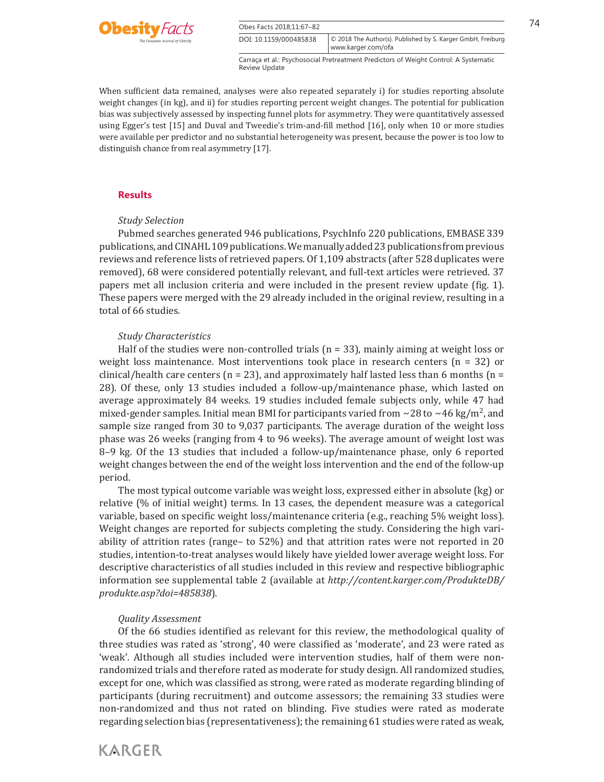

When sufficient data remained, analyses were also repeated separately i) for studies reporting absolute weight changes (in kg), and ii) for studies reporting percent weight changes. The potential for publication bias was subjectively assessed by inspecting funnel plots for asymmetry. They were quantitatively assessed using Egger's test [15] and Duval and Tweedie's trim-and-fill method [16] , only when 10 or more studies were available per predictor and no substantial heterogeneity was present, because the power is too low to distinguish chance from real asymmetry [17].

#### **Results**

# *Study Selection*

 Pubmed searches generated 946 publications, PsychInfo 220 publications, EMBASE 339 publications, and CINAHL 109 publications. We manually added 23 publications from previous reviews and reference lists of retrieved papers. Of 1,109 abstracts (after 528 duplicates were removed), 68 were considered potentially relevant, and full-text articles were retrieved. 37 papers met all inclusion criteria and were included in the present review update ( fig. 1 ). These papers were merged with the 29 already included in the original review, resulting in a total of 66 studies.

#### *Study Characteristics*

Half of the studies were non-controlled trials ( $n = 33$ ), mainly aiming at weight loss or weight loss maintenance. Most interventions took place in research centers ( $n = 32$ ) or clinical/health care centers ( $n = 23$ ), and approximately half lasted less than 6 months ( $n =$ 28). Of these, only 13 studies included a follow-up/maintenance phase, which lasted on average approximately 84 weeks. 19 studies included female subjects only, while 47 had mixed-gender samples. Initial mean BMI for participants varied from ∼28 to ∼46 kg/m<sup>2</sup>, and sample size ranged from 30 to 9,037 participants. The average duration of the weight loss phase was 26 weeks (ranging from 4 to 96 weeks). The average amount of weight lost was 8–9 kg. Of the 13 studies that included a follow-up/maintenance phase, only 6 reported weight changes between the end of the weight loss intervention and the end of the follow-up period.

 The most typical outcome variable was weight loss, expressed either in absolute (kg) or relative (% of initial weight) terms. In 13 cases, the dependent measure was a categorical variable, based on specific weight loss/maintenance criteria (e.g., reaching 5% weight loss). Weight changes are reported for subjects completing the study. Considering the high variability of attrition rates (range– to 52%) and that attrition rates were not reported in 20 studies, intention-to-treat analyses would likely have yielded lower average weight loss. For descriptive characteristics of all studies included in this review and respective bibliographic information see supplemental table 2 (available at *http://content.karger.com/ProdukteDB/ produkte.asp?doi=485838* ).

# *Quality Assessment*

 Of the 66 studies identified as relevant for this review, the methodological quality of three studies was rated as 'strong', 40 were classified as 'moderate', and 23 were rated as 'weak'. Although all studies included were intervention studies, half of them were nonrandomized trials and therefore rated as moderate for study design. All randomized studies, except for one, which was classified as strong, were rated as moderate regarding blinding of participants (during recruitment) and outcome assessors; the remaining 33 studies were non-randomized and thus not rated on blinding. Five studies were rated as moderate regarding selection bias (representativeness); the remaining 61 studies were rated as weak,

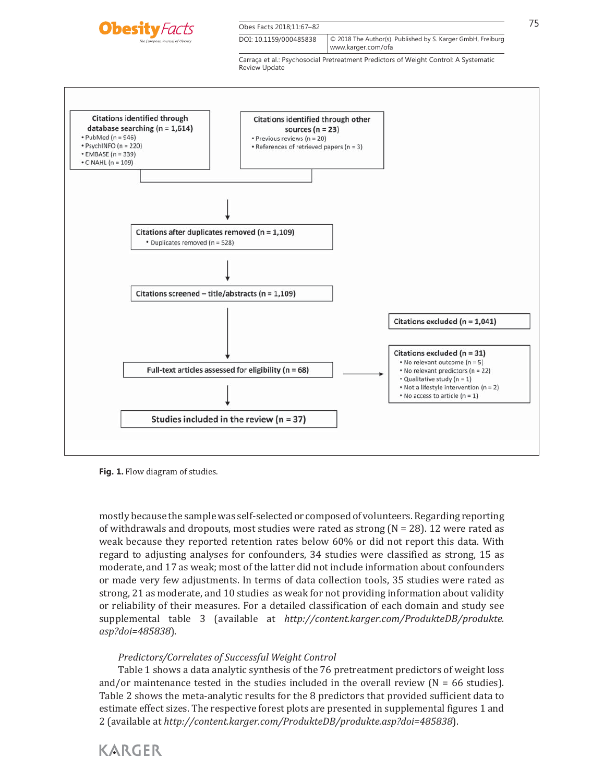

Obes Facts 2018:11:67–82 75

DOI: 10.1159/000485838 www.karger.com/ofa © 2018 The Author(s). Published by S. Karger GmbH, Freiburg

> Carraça et al.: Psychosocial Pretreatment Predictors of Weight Control: A Systematic Review Update



**Fig. 1.** Flow diagram of studies.

mostly because the sample was self-selected or composed of volunteers. Regarding reporting of withdrawals and dropouts, most studies were rated as strong  $(N = 28)$ . 12 were rated as weak because they reported retention rates below 60% or did not report this data. With regard to adjusting analyses for confounders, 34 studies were classified as strong, 15 as moderate, and 17 as weak; most of the latter did not include information about confounders or made very few adjustments. In terms of data collection tools, 35 studies were rated as strong, 21 as moderate, and 10 studies as weak for not providing information about validity or reliability of their measures. For a detailed classification of each domain and study see supplemental table 3 (available at *http://content.karger.com/ProdukteDB/produkte. asp?doi=485838* ).

# *Predictors/Correlates of Successful Weight Control*

 Table 1 shows a data analytic synthesis of the 76 pretreatment predictors of weight loss and/or maintenance tested in the studies included in the overall review  $(N = 66$  studies). Table 2 shows the meta-analytic results for the 8 predictors that provided sufficient data to estimate effect sizes. The respective forest plots are presented in supplemental figures 1 and 2 (available at *http://content.karger.com/ProdukteDB/produkte.asp?doi=485838* ).

**KARGER**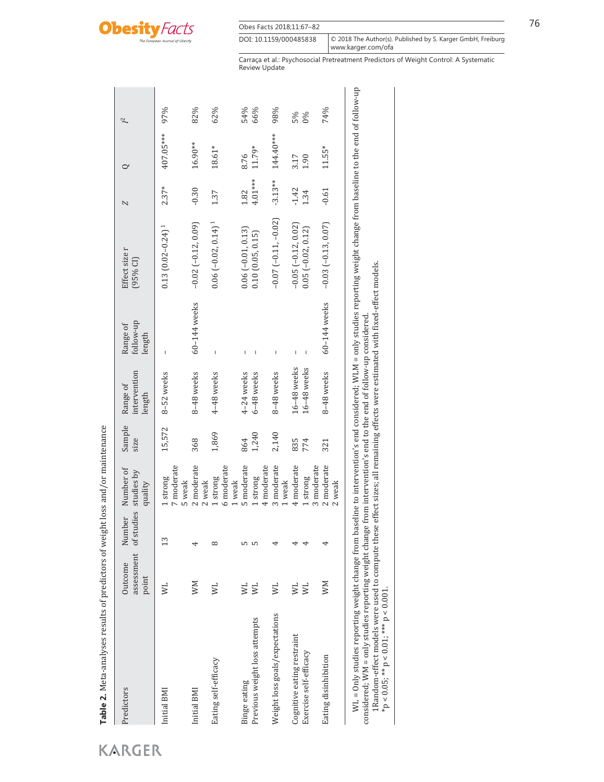

| Predictors                     | assessment<br>Outcome<br>point | of studies<br>Number | Number of<br>studies by<br>quality | Sample<br>size | intervention<br>Range of<br>length | follow-up<br>Range of<br>length | Effect size r<br>$(95%$ CI)      | Z         | $\circ$   | 72  |
|--------------------------------|--------------------------------|----------------------|------------------------------------|----------------|------------------------------------|---------------------------------|----------------------------------|-----------|-----------|-----|
| Initial BMI                    | $\overline{\mathsf{N}}$        | 13                   | 7 moderate<br>strong<br>5 weak     | 15,572         | 8-52 weeks                         | I                               | $0.13(0.02 - 0.24)^1$            | $2.37*$   | 407.05*** | 97% |
| Initial BMI                    | MМ                             | 4                    | 2 moderate<br>2 weak               | 368            | 8-48 weeks                         | 60-144 weeks                    | $-0.02[-0.12, 0.09]$             | $-0.30$   | 16.90**   | 82% |
| Eating self-efficacy           | <b>NI</b>                      | $^{\circ}$           | 6 moderate<br>1 strong<br>1 weak   | 1,869          | 4-48 weeks                         | I                               | $0.06[-0.02, 0.14]$ <sup>1</sup> | 1.37      | 18.61*    | 62% |
| Binge eating                   | $\overline{\mathsf{x}}$        | S                    | 5 moderate                         | 864            | 4-24 weeks                         | I                               | $0.06(-0.01, 0.13)$              | 1.82      | 8.76      | 54% |
| Previous weight loss attempts  | ΜL,                            | LO                   | 4 moderate<br>1 strong             | 1,240          | 6-48 weeks                         | I                               | 0.10(0.05, 0.15)                 | 4.01***   | $11.79*$  | 66% |
| Weight loss goals/expectations | $\overline{\mathsf{N}}$        | 4                    | 3 moderate<br>1 weak               | 2,140          | 8-48 weeks                         | I                               | $-0.07(-0.11,-0.02)$             | $-3.13**$ | 144.40*** | 98% |
| Cognitive eating restraint     | $\overline{\mathsf{N}}$        | ⊣                    | 4 moderate                         | 835            | 16-48 weeks                        |                                 | $-0.05$ $(-0.12, 0.02)$          | $-1.42$   | 3.17      | 5%  |
| Exercise self-efficacy         | ΜL,                            | 4                    | 3 moderate<br>1 strong             | 774            | $16-48$ weeks                      | I                               | $0.05 (-0.02, 0.12)$             | 1.34      | 1.90      | 0%  |
| Eating disinhibition           | MM                             | 4                    | 2 moderate<br>2 weak               | 321            | 8-48 weeks                         | 60-144 weeks                    | $-0.03(-0.13, 0.07)$             | $-0.61$   | $11.55*$  | 74% |

considered; WM = only studies reporting weight change from intervention's end to the end of follow-up considered.<br>1Random-effect models were used to compute these effect sizes; all remaining effects were estimated with fi considered; WM = only studies reporting weight change from intervention's end to the end of follow-up considered.

1Random-effect models were used to compute these effect sizes; all remaining effects were estimated with fixed-effect models.

 $*p < 0.05; ** p < 0.01;*** p < 0.001$ .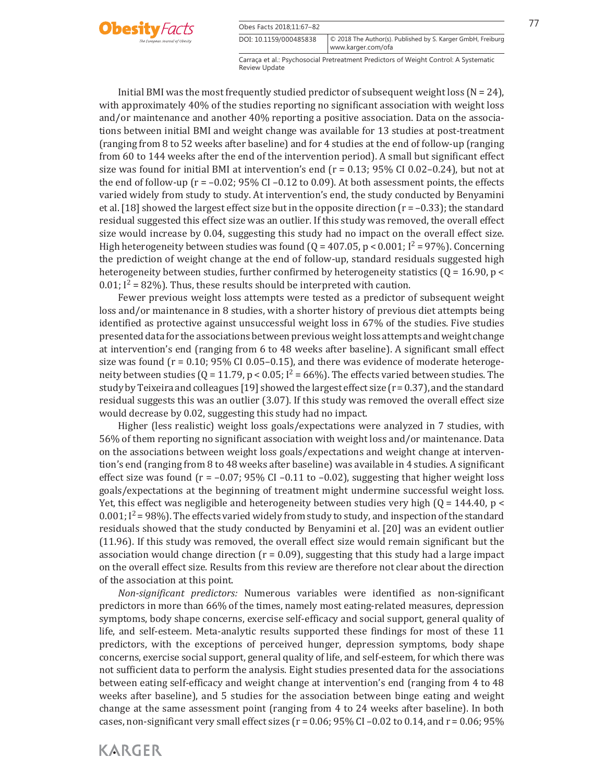



**KARGER** 

Carraça et al.: Psychosocial Pretreatment Predictors of Weight Control: A Systematic Review Update www.karger.com/ofa

© 2018 The Author(s). Published by S. Karger GmbH, Freiburg

Initial BMI was the most frequently studied predictor of subsequent weight loss ( $N = 24$ ), with approximately 40% of the studies reporting no significant association with weight loss and/or maintenance and another 40% reporting a positive association. Data on the associations between initial BMI and weight change was available for 13 studies at post-treatment (ranging from 8 to 52 weeks after baseline) and for 4 studies at the end of follow-up (ranging from 60 to 144 weeks after the end of the intervention period). A small but significant effect size was found for initial BMI at intervention's end ( $r = 0.13$ ; 95% CI 0.02–0.24), but not at the end of follow-up ( $r = -0.02$ ; 95% CI –0.12 to 0.09). At both assessment points, the effects varied widely from study to study. At intervention's end, the study conducted by Benyamini et al. [18] showed the largest effect size but in the opposite direction (r = –0.33); the standard residual suggested this effect size was an outlier. If this study was removed, the overall effect size would increase by 0.04, suggesting this study had no impact on the overall effect size. High heterogeneity between studies was found  $(Q = 407.05, p < 0.001; I<sup>2</sup> = 97%)$ . Concerning the prediction of weight change at the end of follow-up, standard residuals suggested high heterogeneity between studies, further confirmed by heterogeneity statistics ( $Q = 16.90$ ,  $p \le$ 0.01;  $I^2 = 82\%$ ). Thus, these results should be interpreted with caution.

 Fewer previous weight loss attempts were tested as a predictor of subsequent weight loss and/or maintenance in 8 studies, with a shorter history of previous diet attempts being identified as protective against unsuccessful weight loss in 67% of the studies. Five studies presented data for the associations between previous weight loss attempts and weight change at intervention's end (ranging from 6 to 48 weeks after baseline). A significant small effect size was found ( $r = 0.10$ ; 95% CI 0.05–0.15), and there was evidence of moderate heterogeneity between studies ( $Q = 11.79$ ,  $p < 0.05$ ;  $I^2 = 66\%$ ). The effects varied between studies. The study by Teixeira and colleagues [19] showed the largest effect size  $(r = 0.37)$ , and the standard residual suggests this was an outlier (3.07). If this study was removed the overall effect size would decrease by 0.02, suggesting this study had no impact.

 Higher (less realistic) weight loss goals/expectations were analyzed in 7 studies, with 56% of them reporting no significant association with weight loss and/or maintenance. Data on the associations between weight loss goals/expectations and weight change at intervention's end (ranging from 8 to 48 weeks after baseline) was available in 4 studies. A significant effect size was found ( $r = -0.07$ ; 95% CI -0.11 to -0.02), suggesting that higher weight loss goals/expectations at the beginning of treatment might undermine successful weight loss. Yet, this effect was negligible and heterogeneity between studies very high ( $Q = 144.40$ ,  $p \le$ 0.001;  $I^2$  = 98%). The effects varied widely from study to study, and inspection of the standard residuals showed that the study conducted by Benyamini et al. [20] was an evident outlier (11.96). If this study was removed, the overall effect size would remain significant but the association would change direction  $(r = 0.09)$ , suggesting that this study had a large impact on the overall effect size. Results from this review are therefore not clear about the direction of the association at this point.

*Non-significant predictors:* Numerous variables were identified as non-significant predictors in more than 66% of the times, namely most eating-related measures, depression symptoms, body shape concerns, exercise self-efficacy and social support, general quality of life, and self-esteem. Meta-analytic results supported these findings for most of these 11 predictors, with the exceptions of perceived hunger, depression symptoms, body shape concerns, exercise social support, general quality of life, and self-esteem, for which there was not sufficient data to perform the analysis. Eight studies presented data for the associations between eating self-efficacy and weight change at intervention's end (ranging from 4 to 48 weeks after baseline), and 5 studies for the association between binge eating and weight change at the same assessment point (ranging from 4 to 24 weeks after baseline). In both cases, non-significant very small effect sizes ( $r = 0.06$ ; 95% CI –0.02 to 0.14, and  $r = 0.06$ ; 95%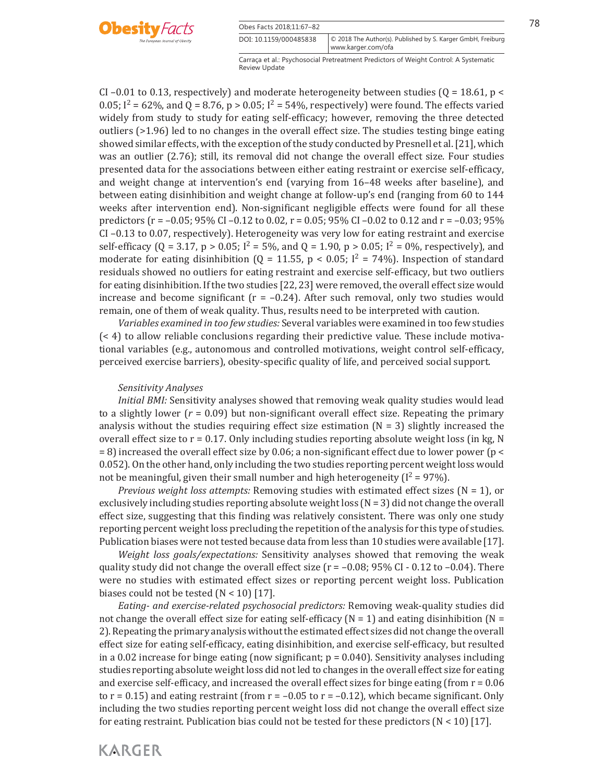

| Obes Facts 2018:11:67-82 |                                                                                     |
|--------------------------|-------------------------------------------------------------------------------------|
| DOI: 10.1159/000485838   | © 2018 The Author(s). Published by S. Karger GmbH, Freiburg<br>  www.karger.com/ofa |

CI –0.01 to 0.13, respectively) and moderate heterogeneity between studies ( $Q = 18.61$ ,  $p \le$ 0.05;  $I^2 = 62\%$ , and Q = 8.76, p > 0.05;  $I^2 = 54\%$ , respectively) were found. The effects varied widely from study to study for eating self-efficacy; however, removing the three detected outliers (>1.96) led to no changes in the overall effect size. The studies testing binge eating showed similar effects, with the exception of the study conducted by Presnell et al. [21] , which was an outlier (2.76); still, its removal did not change the overall effect size. Four studies presented data for the associations between either eating restraint or exercise self-efficacy, and weight change at intervention's end (varying from 16–48 weeks after baseline), and between eating disinhibition and weight change at follow-up's end (ranging from 60 to 144 weeks after intervention end). Non-significant negligible effects were found for all these predictors ( $r = -0.05$ ; 95% CI –0.12 to 0.02,  $r = 0.05$ ; 95% CI –0.02 to 0.12 and  $r = -0.03$ ; 95% CI –0.13 to 0.07, respectively). Heterogeneity was very low for eating restraint and exercise self-efficacy (Q = 3.17, p > 0.05;  $I^2 = 5\%$ , and Q = 1.90, p > 0.05;  $I^2 = 0\%$ , respectively), and moderate for eating disinhibition (Q = 11.55, p < 0.05;  $I^2$  = 74%). Inspection of standard residuals showed no outliers for eating restraint and exercise self-efficacy, but two outliers for eating disinhibition. If the two studies [22, 23] were removed, the overall effect size would increase and become significant ( $r = -0.24$ ). After such removal, only two studies would remain, one of them of weak quality. Thus, results need to be interpreted with caution.

*Variables examined in too few studies:* Several variables were examined in too few studies (< 4) to allow reliable conclusions regarding their predictive value. These include motivational variables (e.g., autonomous and controlled motivations, weight control self-efficacy, perceived exercise barriers), obesity-specific quality of life, and perceived social support.

#### *Sensitivity Analyses*

*Initial BMI:* Sensitivity analyses showed that removing weak quality studies would lead to a slightly lower  $(r = 0.09)$  but non-significant overall effect size. Repeating the primary analysis without the studies requiring effect size estimation  $(N = 3)$  slightly increased the overall effect size to  $r = 0.17$ . Only including studies reporting absolute weight loss (in kg, N  $= 8$ ) increased the overall effect size by 0.06; a non-significant effect due to lower power (p < 0.052). On the other hand, only including the two studies reporting percent weight loss would not be meaningful, given their small number and high heterogeneity ( $I^2 = 97\%$ ).

*Previous weight loss attempts:* Removing studies with estimated effect sizes (N = 1), or exclusively including studies reporting absolute weight loss ( $N = 3$ ) did not change the overall effect size, suggesting that this finding was relatively consistent. There was only one study reporting percent weight loss precluding the repetition of the analysis for this type of studies. Publication biases were not tested because data from less than 10 studies were available [17] .

*Weight loss goals/expectations:* Sensitivity analyses showed that removing the weak quality study did not change the overall effect size ( $r = -0.08$ ; 95% CI - 0.12 to -0.04). There were no studies with estimated effect sizes or reporting percent weight loss. Publication biases could not be tested  $(N < 10)$  [17].

*Eating- and exercise-related psychosocial predictors:* Removing weak-quality studies did not change the overall effect size for eating self-efficacy ( $N = 1$ ) and eating disinhibition ( $N =$ 2). Repeating the primary analysis without the estimated effect sizes did not change the overall effect size for eating self-efficacy, eating disinhibition, and exercise self-efficacy, but resulted in a 0.02 increase for binge eating (now significant;  $p = 0.040$ ). Sensitivity analyses including studies reporting absolute weight loss did not led to changes in the overall effect size for eating and exercise self-efficacy, and increased the overall effect sizes for binge eating (from  $r = 0.06$ ) to  $r = 0.15$  and eating restraint (from  $r = -0.05$  to  $r = -0.12$ ), which became significant. Only including the two studies reporting percent weight loss did not change the overall effect size for eating restraint. Publication bias could not be tested for these predictors  $(N < 10)$  [17].

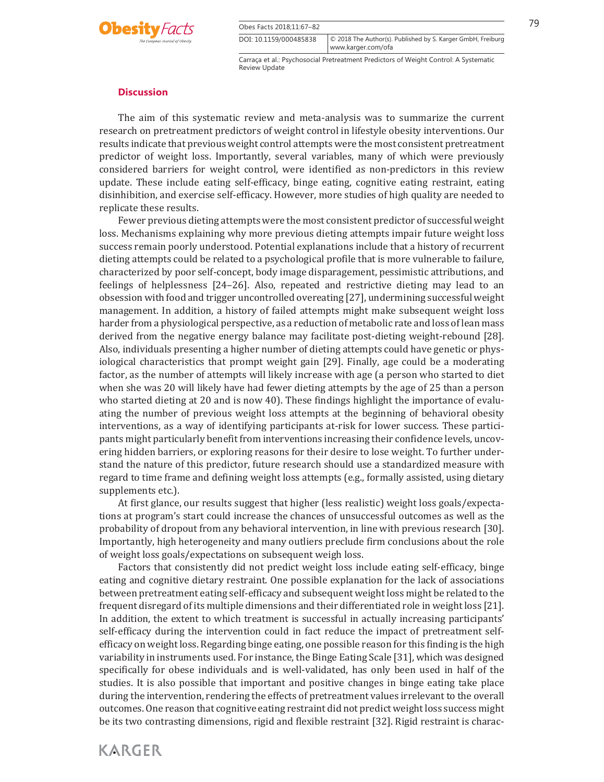



© 2018 The Author(s). Published by S. Karger GmbH, Freiburg

#### **Discussion**

 The aim of this systematic review and meta-analysis was to summarize the current research on pretreatment predictors of weight control in lifestyle obesity interventions. Our results indicate that previous weight control attempts were the most consistent pretreatment predictor of weight loss. Importantly, several variables, many of which were previously considered barriers for weight control, were identified as non-predictors in this review update. These include eating self-efficacy, binge eating, cognitive eating restraint, eating disinhibition, and exercise self-efficacy. However, more studies of high quality are needed to replicate these results.

 Fewer previous dieting attempts were the most consistent predictor of successful weight loss. Mechanisms explaining why more previous dieting attempts impair future weight loss success remain poorly understood. Potential explanations include that a history of recurrent dieting attempts could be related to a psychological profile that is more vulnerable to failure, characterized by poor self-concept, body image disparagement, pessimistic attributions, and feelings of helplessness [24–26] . Also, repeated and restrictive dieting may lead to an obsession with food and trigger uncontrolled overeating [27] , undermining successful weight management. In addition, a history of failed attempts might make subsequent weight loss harder from a physiological perspective, as a reduction of metabolic rate and loss of lean mass derived from the negative energy balance may facilitate post-dieting weight-rebound [28] . Also, individuals presenting a higher number of dieting attempts could have genetic or physiological characteristics that prompt weight gain [29] . Finally, age could be a moderating factor, as the number of attempts will likely increase with age (a person who started to diet when she was 20 will likely have had fewer dieting attempts by the age of 25 than a person who started dieting at 20 and is now 40). These findings highlight the importance of evaluating the number of previous weight loss attempts at the beginning of behavioral obesity interventions, as a way of identifying participants at-risk for lower success. These participants might particularly benefit from interventions increasing their confidence levels, uncovering hidden barriers, or exploring reasons for their desire to lose weight. To further understand the nature of this predictor, future research should use a standardized measure with regard to time frame and defining weight loss attempts (e.g., formally assisted, using dietary supplements etc.).

 At first glance, our results suggest that higher (less realistic) weight loss goals/expectations at program's start could increase the chances of unsuccessful outcomes as well as the probability of dropout from any behavioral intervention, in line with previous research [30] . Importantly, high heterogeneity and many outliers preclude firm conclusions about the role of weight loss goals/expectations on subsequent weigh loss.

 Factors that consistently did not predict weight loss include eating self-efficacy, binge eating and cognitive dietary restraint. One possible explanation for the lack of associations between pretreatment eating self-efficacy and subsequent weight loss might be related to the frequent disregard of its multiple dimensions and their differentiated role in weight loss [21] . In addition, the extent to which treatment is successful in actually increasing participants' self-efficacy during the intervention could in fact reduce the impact of pretreatment selfefficacy on weight loss. Regarding binge eating, one possible reason for this finding is the high variability in instruments used. For instance, the Binge Eating Scale [31] , which was designed specifically for obese individuals and is well-validated, has only been used in half of the studies. It is also possible that important and positive changes in binge eating take place during the intervention, rendering the effects of pretreatment values irrelevant to the overall outcomes. One reason that cognitive eating restraint did not predict weight loss success might be its two contrasting dimensions, rigid and flexible restraint [32] . Rigid restraint is charac-

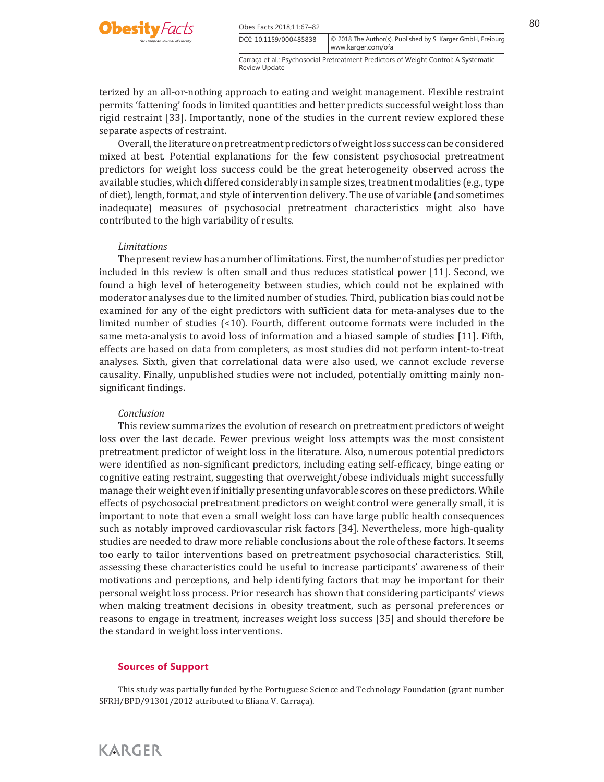

terized by an all-or-nothing approach to eating and weight management. Flexible restraint permits 'fattening' foods in limited quantities and better predicts successful weight loss than rigid restraint [33] . Importantly, none of the studies in the current review explored these separate aspects of restraint.

 Overall, the literature on pretreatment predictors of weight loss success can be considered mixed at best. Potential explanations for the few consistent psychosocial pretreatment predictors for weight loss success could be the great heterogeneity observed across the available studies, which differed considerably in sample sizes, treatment modalities (e.g., type of diet), length, format, and style of intervention delivery. The use of variable (and sometimes inadequate) measures of psychosocial pretreatment characteristics might also have contributed to the high variability of results.

#### *Limitations*

 The present review has a number of limitations. First, the number of studies per predictor included in this review is often small and thus reduces statistical power [11] . Second, we found a high level of heterogeneity between studies, which could not be explained with moderator analyses due to the limited number of studies. Third, publication bias could not be examined for any of the eight predictors with sufficient data for meta-analyses due to the limited number of studies (<10). Fourth, different outcome formats were included in the same meta-analysis to avoid loss of information and a biased sample of studies [11] . Fifth, effects are based on data from completers, as most studies did not perform intent-to-treat analyses. Sixth, given that correlational data were also used, we cannot exclude reverse causality. Finally, unpublished studies were not included, potentially omitting mainly nonsignificant findings.

#### *Conclusion*

 This review summarizes the evolution of research on pretreatment predictors of weight loss over the last decade. Fewer previous weight loss attempts was the most consistent pretreatment predictor of weight loss in the literature. Also, numerous potential predictors were identified as non-significant predictors, including eating self-efficacy, binge eating or cognitive eating restraint, suggesting that overweight/obese individuals might successfully manage their weight even if initially presenting unfavorable scores on these predictors. While effects of psychosocial pretreatment predictors on weight control were generally small, it is important to note that even a small weight loss can have large public health consequences such as notably improved cardiovascular risk factors [34] . Nevertheless, more high-quality studies are needed to draw more reliable conclusions about the role of these factors. It seems too early to tailor interventions based on pretreatment psychosocial characteristics. Still, assessing these characteristics could be useful to increase participants' awareness of their motivations and perceptions, and help identifying factors that may be important for their personal weight loss process. Prior research has shown that considering participants' views when making treatment decisions in obesity treatment, such as personal preferences or reasons to engage in treatment, increases weight loss success [35] and should therefore be the standard in weight loss interventions.

#### **Sources of Support**

 This study was partially funded by the Portuguese Science and Technology Foundation (grant number SFRH/BPD/91301/2012 attributed to Eliana V. Carraça).

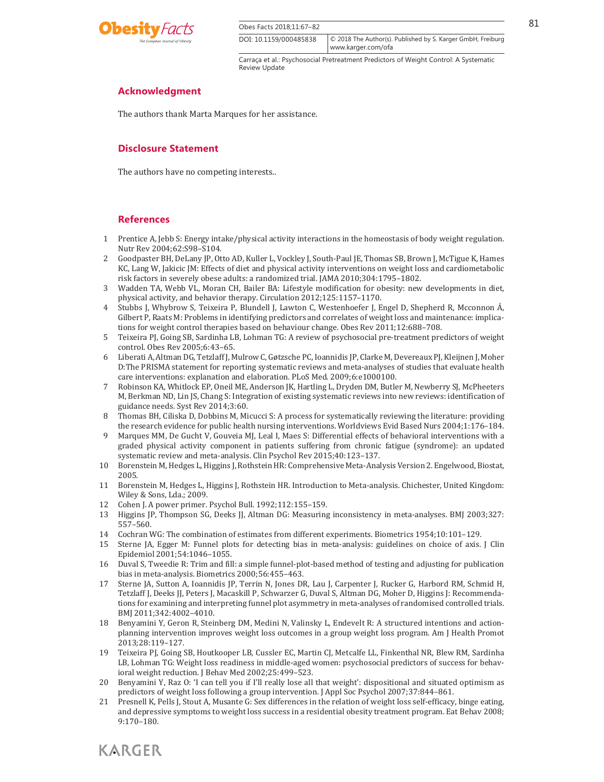

 $\overline{Obes \text{ Facts } 2018:11:67-82}$  81 DOI: 10.1159/000485838

Carraça et al.: Psychosocial Pretreatment Predictors of Weight Control: A Systematic Review Update

© 2018 The Author(s). Published by S. Karger GmbH, Freiburg

www.karger.com/ofa

# **Acknowledgment**

The authors thank Marta Marques for her assistance.

## **Disclosure Statement**

The authors have no competing interests..

#### **References**

- 1 Prentice A, Jebb S: Energy intake/physical activity interactions in the homeostasis of body weight regulation. Nutr Rev 2004;62:S98–S104.
- 2 Goodpaster BH, DeLany JP, Otto AD, Kuller L, Vockley J, South-Paul JE, Thomas SB, Brown J, McTigue K, Hames KC, Lang W, Jakicic JM: Effects of diet and physical activity interventions on weight loss and cardiometabolic risk factors in severely obese adults: a randomized trial. JAMA 2010;304:1795–1802.
- 3 Wadden TA, Webb VL, Moran CH, Bailer BA: Lifestyle modification for obesity: new developments in diet, physical activity, and behavior therapy. Circulation 2012;125:1157–1170.
- 4 Stubbs J, Whybrow S, Teixeira P, Blundell J, Lawton C, Westenhoefer J, Engel D, Shepherd R, Mcconnon Á, Gilbert P, Raats M: Problems in identifying predictors and correlates of weight loss and maintenance: implications for weight control therapies based on behaviour change. Obes Rev 2011;12:688–708.
- 5 Teixeira PJ, Going SB, Sardinha LB, Lohman TG: A review of psychosocial pre-treatment predictors of weight control. Obes Rev 2005;6:43–65.
- 6 Liberati A, Altman DG, Tetzlaff J, Mulrow C, Gøtzsche PC, Ioannidis JP, Clarke M, Devereaux PJ, Kleijnen J, Moher D:The PRISMA statement for reporting systematic reviews and meta-analyses of studies that evaluate health care interventions: explanation and elaboration. PLoS Med. 2009;6:e1000100.
- 7 Robinson KA, Whitlock EP, Oneil ME, Anderson JK, Hartling L, Dryden DM, Butler M, Newberry SJ, McPheeters M, Berkman ND, Lin JS, Chang S: Integration of existing systematic reviews into new reviews: identification of guidance needs. Syst Rev 2014;3:60.
- 8 Thomas BH, Ciliska D, Dobbins M, Micucci S: A process for systematically reviewing the literature: providing the research evidence for public health nursing interventions. Worldviews Evid Based Nurs 2004;1:176–184.
- 9 Marques MM, De Gucht V, Gouveia MJ, Leal I, Maes S: Differential effects of behavioral interventions with a graded physical activity component in patients suffering from chronic fatigue (syndrome): an updated systematic review and meta-analysis. Clin Psychol Rev 2015;40:123–137.
- 10 Borenstein M, Hedges L, Higgins J, Rothstein HR: Comprehensive Meta-Analysis Version 2. Engelwood, Biostat, 2005.
- 11 Borenstein M, Hedges L, Higgins J, Rothstein HR. Introduction to Meta-analysis. Chichester, United Kingdom: Wiley & Sons, Lda.; 2009.
- 12 Cohen J. A power primer. Psychol Bull. 1992;112:155–159.
- 13 Higgins JP, Thompson SG, Deeks JJ, Altman DG: Measuring inconsistency in meta-analyses. BMJ 2003;327: 557–560.
- 14 Cochran WG: The combination of estimates from different experiments. Biometrics 1954;10:101–129.
- 15 Sterne JA, Egger M: Funnel plots for detecting bias in meta-analysis: guidelines on choice of axis. J Clin Epidemiol 2001;54:1046–1055.
- 16 Duval S, Tweedie R: Trim and fill: a simple funnel-plot-based method of testing and adjusting for publication bias in meta-analysis. Biometrics 2000;56:455–463.
- 17 Sterne JA, Sutton A, Ioannidis JP, Terrin N, Jones DR, Lau J, Carpenter J, Rucker G, Harbord RM, Schmid H, Tetzlaff J, Deeks JJ, Peters J, Macaskill P, Schwarzer G, Duval S, Altman DG, Moher D, Higgins J: Recommendations for examining and interpreting funnel plot asymmetry in meta-analyses of randomised controlled trials. BMJ 2011;342:4002–4010.
- 18 Benyamini Y, Geron R, Steinberg DM, Medini N, Valinsky L, Endevelt R: A structured intentions and actionplanning intervention improves weight loss outcomes in a group weight loss program. Am J Health Promot 2013;28:119–127.
- 19 Teixeira PJ, Going SB, Houtkooper LB, Cussler EC, Martin CJ, Metcalfe LL, Finkenthal NR, Blew RM, Sardinha LB, Lohman TG: Weight loss readiness in middle-aged women: psychosocial predictors of success for behavioral weight reduction. J Behav Med 2002;25:499–523.
- 20 Benyamini Y, Raz O: 'I can tell you if I'll really lose all that weight': dispositional and situated optimism as predictors of weight loss following a group intervention. J Appl Soc Psychol 2007;37:844–861.
- 21 Presnell K, Pells J, Stout A, Musante G: Sex differences in the relation of weight loss self-efficacy, binge eating, and depressive symptoms to weight loss success in a residential obesity treatment program. Eat Behav 2008; 9:170–180.